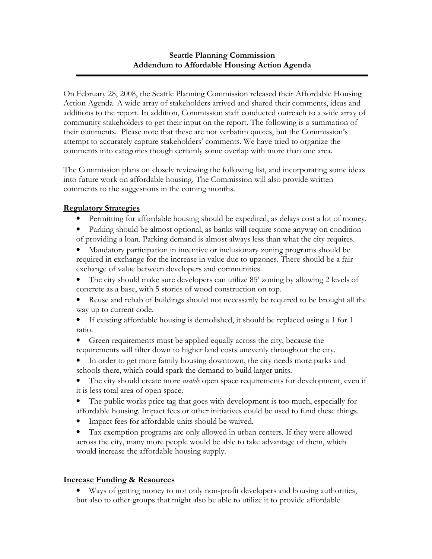### Seattle Planning Commission Addendum to Affordable Housing Action Agenda

On February 28, 2008, the Seattle Planning Commission released their Affordable Housing Action Agenda. A wide array of stakeholders arrived and shared their comments, ideas and additions to the report. In addition, Commission staff conducted outreach to a wide array of community stakeholders to get their input on the report. The following is a summation of their comments. Please note that these are not verbatim quotes, but the Commission's attempt to accurately capture stakeholders' comments. We have tried to organize the comments into categories though certainly some overlap with more than one area.

The Commission plans on closely reviewing the following list, and incorporating some ideas into future work on affordable housing. The Commission will also provide written comments to the suggestions in the coming months.

## Regulatory Strategies

- Permitting for affordable housing should be expedited, as delays cost a lot of money.
- Parking should be almost optional, as banks will require some anyway on condition of providing a loan. Parking demand is almost always less than what the city requires.
- Mandatory participation in incentive or inclusionary zoning programs should be required in exchange for the increase in value due to upzones. There should be a fair exchange of value between developers and communities.
- The city should make sure developers can utilize 85' zoning by allowing 2 levels of concrete as a base, with 5 stories of wood construction on top.
- Reuse and rehab of buildings should not necessarily be required to be brought all the way up to current code.
- If existing affordable housing is demolished, it should be replaced using a 1 for 1 ratio.
- Green requirements must be applied equally across the city, because the requirements will filter down to higher land costs unevenly throughout the city.
- In order to get more family housing downtown, the city needs more parks and schools there, which could spark the demand to build larger units.
- The city should create more *usable* open space requirements for development, even if it is less total area of open space.
- The public works price tag that goes with development is too much, especially for affordable housing. Impact fees or other initiatives could be used to fund these things.
- Impact fees for affordable units should be waived.
- Tax exemption programs are only allowed in urban centers. If they were allowed across the city, many more people would be able to take advantage of them, which would increase the affordable housing supply.

### Increase Funding & Resources

• Ways of getting money to not only non-profit developers and housing authorities, but also to other groups that might also be able to utilize it to provide affordable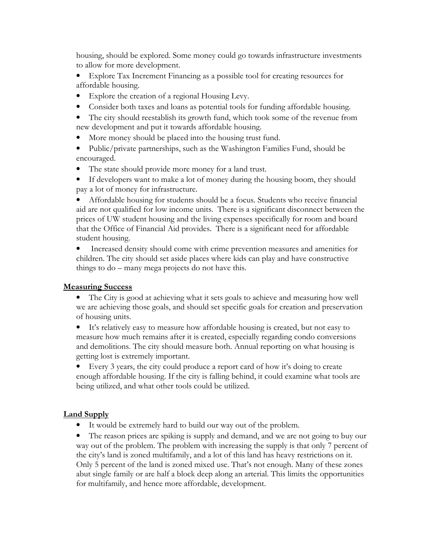housing, should be explored. Some money could go towards infrastructure investments to allow for more development.

- Explore Tax Increment Financing as a possible tool for creating resources for affordable housing.
- Explore the creation of a regional Housing Levy.
- Consider both taxes and loans as potential tools for funding affordable housing.
- The city should reestablish its growth fund, which took some of the revenue from new development and put it towards affordable housing.
- More money should be placed into the housing trust fund.
- Public/private partnerships, such as the Washington Families Fund, should be encouraged.
- The state should provide more money for a land trust.
- If developers want to make a lot of money during the housing boom, they should pay a lot of money for infrastructure.

• Affordable housing for students should be a focus. Students who receive financial aid are not qualified for low income units. There is a significant disconnect between the prices of UW student housing and the living expenses specifically for room and board that the Office of Financial Aid provides. There is a significant need for affordable student housing.

• Increased density should come with crime prevention measures and amenities for children. The city should set aside places where kids can play and have constructive things to do – many mega projects do not have this.

### **Measuring Success**

• The City is good at achieving what it sets goals to achieve and measuring how well we are achieving those goals, and should set specific goals for creation and preservation of housing units.

It's relatively easy to measure how affordable housing is created, but not easy to measure how much remains after it is created, especially regarding condo conversions and demolitions. The city should measure both. Annual reporting on what housing is getting lost is extremely important.

• Every 3 years, the city could produce a report card of how it's doing to create enough affordable housing. If the city is falling behind, it could examine what tools are being utilized, and what other tools could be utilized.

# **Land Supply**

• It would be extremely hard to build our way out of the problem.

• The reason prices are spiking is supply and demand, and we are not going to buy our way out of the problem. The problem with increasing the supply is that only 7 percent of the city's land is zoned multifamily, and a lot of this land has heavy restrictions on it. Only 5 percent of the land is zoned mixed use. That's not enough. Many of these zones abut single family or are half a block deep along an arterial. This limits the opportunities for multifamily, and hence more affordable, development.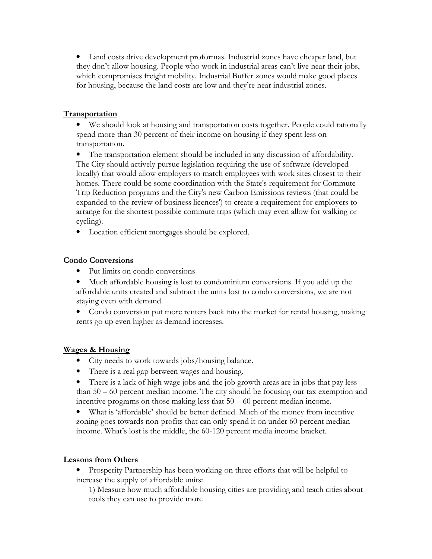• Land costs drive development proformas. Industrial zones have cheaper land, but they don't allow housing. People who work in industrial areas can't live near their jobs, which compromises freight mobility. Industrial Buffer zones would make good places for housing, because the land costs are low and they're near industrial zones.

# **Transportation**

• We should look at housing and transportation costs together. People could rationally spend more than 30 percent of their income on housing if they spent less on transportation.

• The transportation element should be included in any discussion of affordability. The City should actively pursue legislation requiring the use of software (developed locally) that would allow employers to match employees with work sites closest to their homes. There could be some coordination with the State's requirement for Commute Trip Reduction programs and the City's new Carbon Emissions reviews (that could be expanded to the review of business licences') to create a requirement for employers to arrange for the shortest possible commute trips (which may even allow for walking or cycling).

• Location efficient mortgages should be explored.

## Condo Conversions

- Put limits on condo conversions
- Much affordable housing is lost to condominium conversions. If you add up the affordable units created and subtract the units lost to condo conversions, we are not staying even with demand.
- Condo conversion put more renters back into the market for rental housing, making rents go up even higher as demand increases.

### Wages & Housing

- City needs to work towards jobs/housing balance.
- There is a real gap between wages and housing.
- There is a lack of high wage jobs and the job growth areas are in jobs that pay less than 50 – 60 percent median income. The city should be focusing our tax exemption and incentive programs on those making less that 50 – 60 percent median income.

• What is 'affordable' should be better defined. Much of the money from incentive zoning goes towards non-profits that can only spend it on under 60 percent median income. What's lost is the middle, the 60-120 percent media income bracket.

### Lessons from Others

• Prosperity Partnership has been working on three efforts that will be helpful to increase the supply of affordable units:

1) Measure how much affordable housing cities are providing and teach cities about tools they can use to provide more